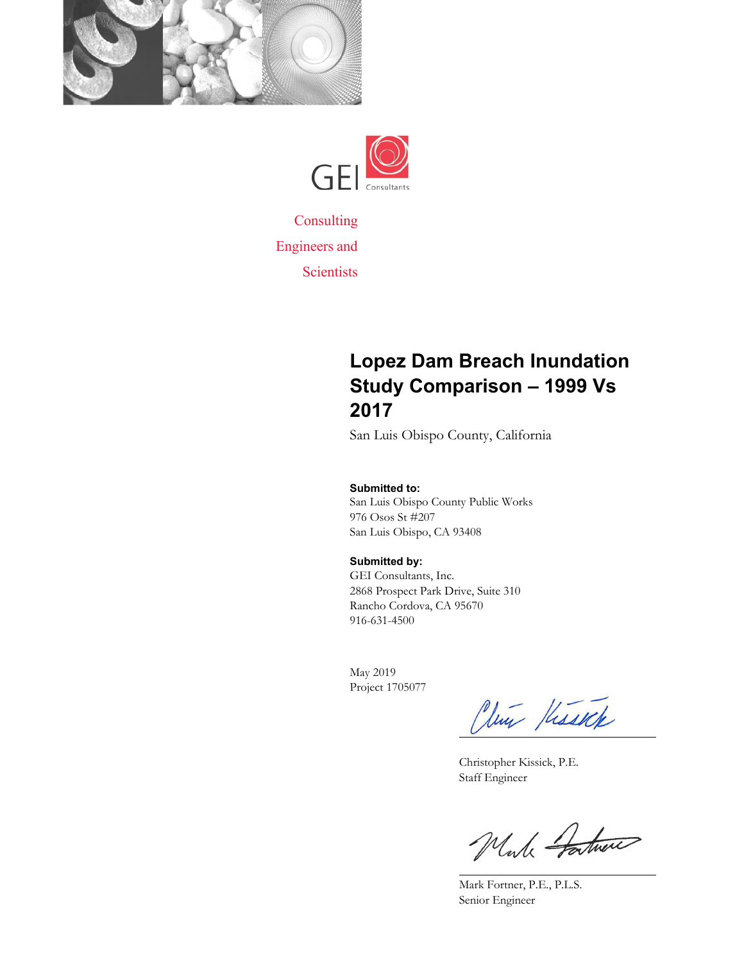



**Consulting** Engineers and **Scientists** 

### **Lopez Dam Breach Inundation Study Comparison – 1999 Vs 2017**

San Luis Obispo County, California

#### **Submitted to:**

San Luis Obispo County Public Works 976 Osos St #207 San Luis Obispo, CA 93408

#### **Submitted by:**

GEI Consultants, Inc. 2868 Prospect Park Drive, Suite 310 Rancho Cordova, CA 95670 916-631-4500

May 2019 Project 1705077

Clui Hissele  $\overline{a}$ 

Christopher Kissick, P.E. Staff Engineer

While Fartner

Mark Fortner, P.E., P.L.S. Senior Engineer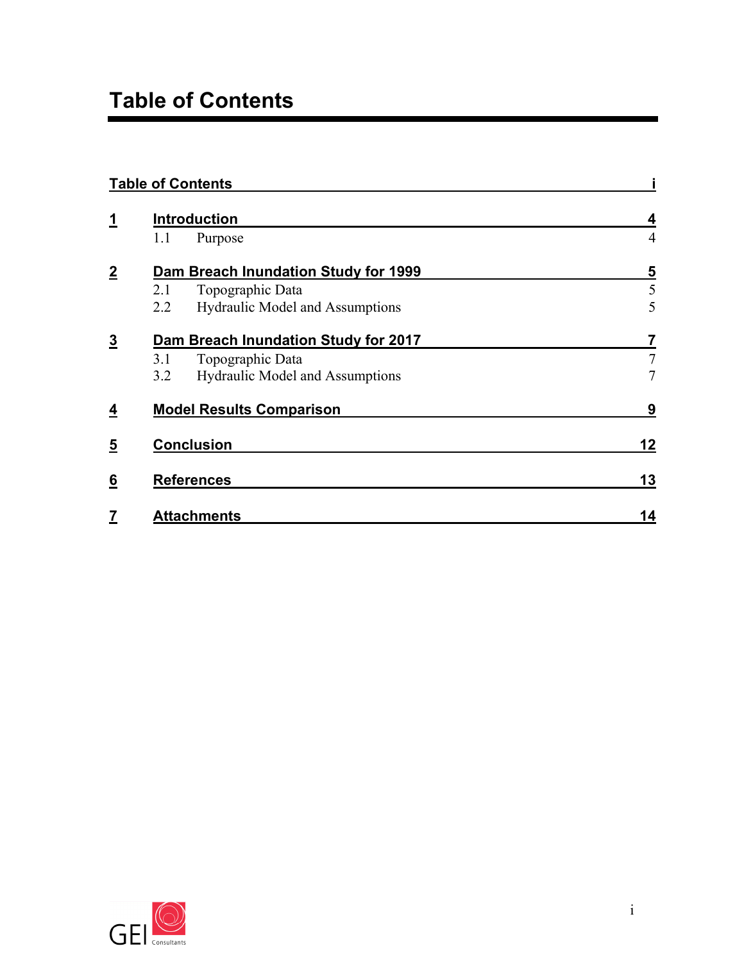|                |     | <b>Table of Contents</b>               |                         |
|----------------|-----|----------------------------------------|-------------------------|
| <u>1</u>       |     | <b>Introduction</b>                    | 4                       |
|                | 1.1 | Purpose                                | $\overline{4}$          |
| $\overline{2}$ |     | Dam Breach Inundation Study for 1999   | $\overline{\mathbf{5}}$ |
|                | 2.1 | Topographic Data                       | 5                       |
|                | 2.2 | <b>Hydraulic Model and Assumptions</b> | 5                       |
| <u>3</u>       |     | Dam Breach Inundation Study for 2017   | 7                       |
|                | 3.1 | Topographic Data                       | $\overline{7}$          |
|                | 3.2 | Hydraulic Model and Assumptions        | $\tau$                  |
| <u>4</u>       |     | <b>Model Results Comparison</b>        | 9                       |
| <u>5</u>       |     | <b>Conclusion</b>                      | 12                      |
| <u>6</u>       |     | <b>References</b>                      | 13                      |
| 7              |     | <b>Attachments</b>                     | 14                      |

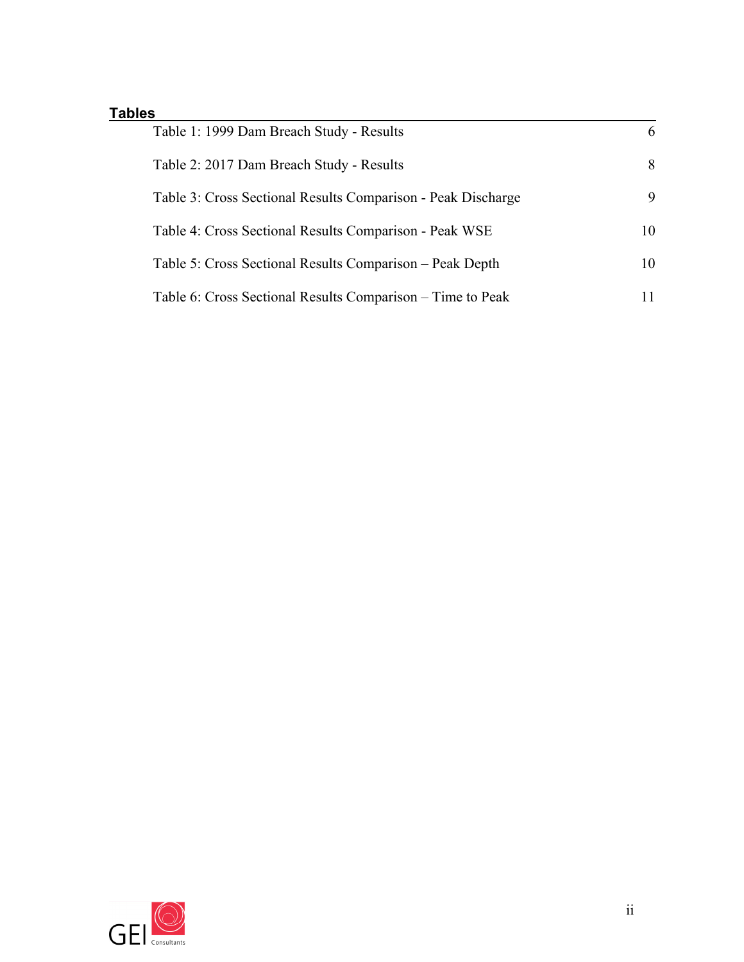#### **Tables**

| Table 1: 1999 Dam Breach Study - Results                     | 6  |
|--------------------------------------------------------------|----|
| Table 2: 2017 Dam Breach Study - Results                     | 8  |
| Table 3: Cross Sectional Results Comparison - Peak Discharge | 9  |
| Table 4: Cross Sectional Results Comparison - Peak WSE       | 10 |
| Table 5: Cross Sectional Results Comparison – Peak Depth     | 10 |
| Table 6: Cross Sectional Results Comparison – Time to Peak   | 11 |

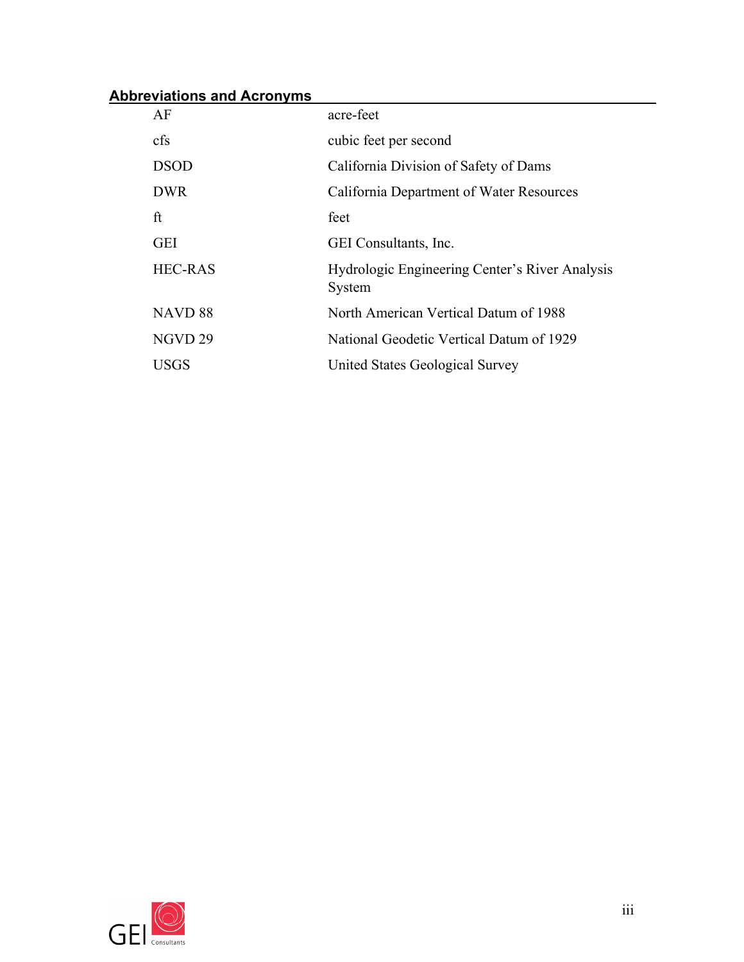#### **Abbreviations and Acronyms**

| AF                 | acre-feet                                                |
|--------------------|----------------------------------------------------------|
| cfs                | cubic feet per second                                    |
| <b>DSOD</b>        | California Division of Safety of Dams                    |
| <b>DWR</b>         | California Department of Water Resources                 |
| ft                 | feet                                                     |
| <b>GEI</b>         | <b>GEI</b> Consultants, Inc.                             |
| <b>HEC-RAS</b>     | Hydrologic Engineering Center's River Analysis<br>System |
| NAVD <sub>88</sub> | North American Vertical Datum of 1988                    |
| NGVD <sub>29</sub> | National Geodetic Vertical Datum of 1929                 |
| <b>USGS</b>        | United States Geological Survey                          |

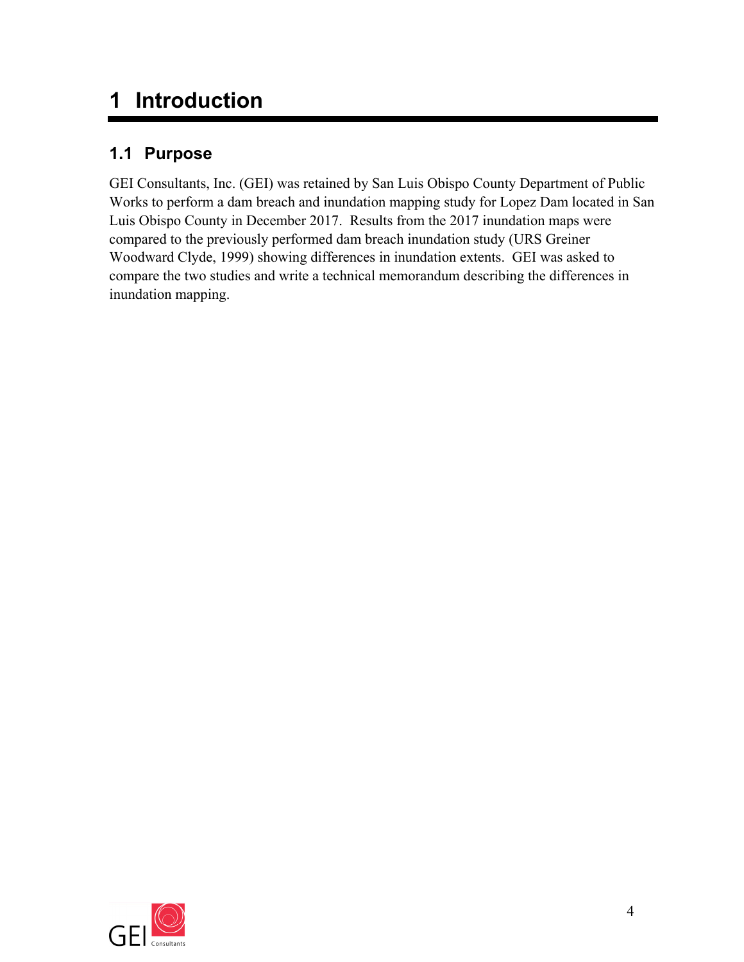### **1 Introduction**

### **1.1 Purpose**

GEI Consultants, Inc. (GEI) was retained by San Luis Obispo County Department of Public Works to perform a dam breach and inundation mapping study for Lopez Dam located in San Luis Obispo County in December 2017. Results from the 2017 inundation maps were compared to the previously performed dam breach inundation study (URS Greiner Woodward Clyde, 1999) showing differences in inundation extents. GEI was asked to compare the two studies and write a technical memorandum describing the differences in inundation mapping.

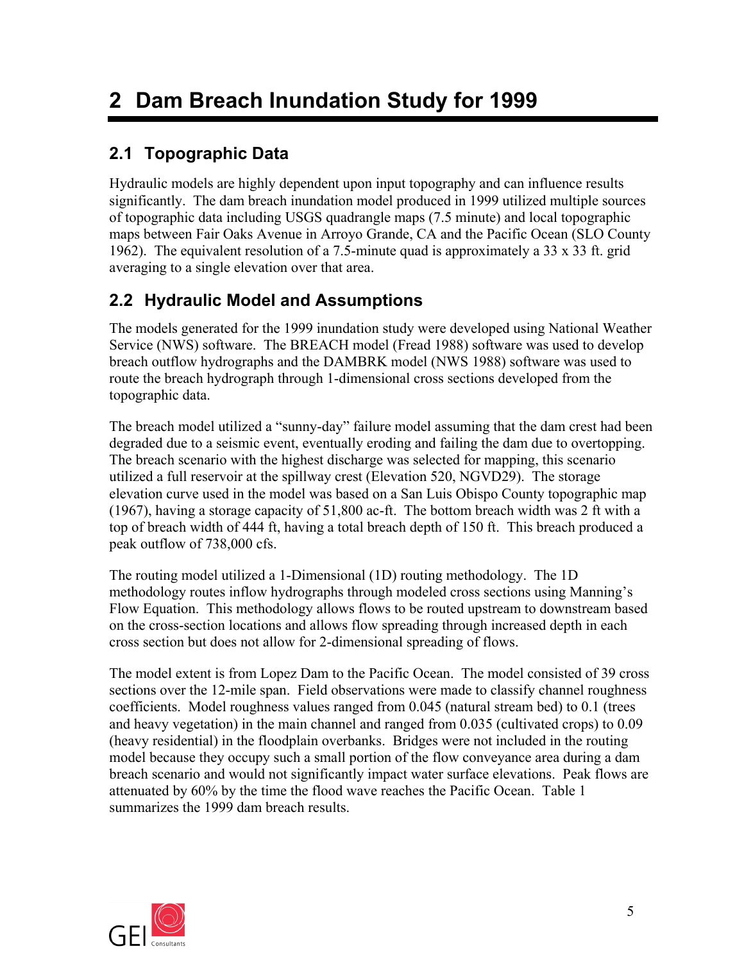## **2 Dam Breach Inundation Study for 1999**

### **2.1 Topographic Data**

Hydraulic models are highly dependent upon input topography and can influence results significantly. The dam breach inundation model produced in 1999 utilized multiple sources of topographic data including USGS quadrangle maps (7.5 minute) and local topographic maps between Fair Oaks Avenue in Arroyo Grande, CA and the Pacific Ocean (SLO County 1962). The equivalent resolution of a 7.5-minute quad is approximately a 33 x 33 ft. grid averaging to a single elevation over that area.

#### **2.2 Hydraulic Model and Assumptions**

The models generated for the 1999 inundation study were developed using National Weather Service (NWS) software. The BREACH model (Fread 1988) software was used to develop breach outflow hydrographs and the DAMBRK model (NWS 1988) software was used to route the breach hydrograph through 1-dimensional cross sections developed from the topographic data.

The breach model utilized a "sunny-day" failure model assuming that the dam crest had been degraded due to a seismic event, eventually eroding and failing the dam due to overtopping. The breach scenario with the highest discharge was selected for mapping, this scenario utilized a full reservoir at the spillway crest (Elevation 520, NGVD29). The storage elevation curve used in the model was based on a San Luis Obispo County topographic map (1967), having a storage capacity of 51,800 ac-ft. The bottom breach width was 2 ft with a top of breach width of 444 ft, having a total breach depth of 150 ft. This breach produced a peak outflow of 738,000 cfs.

The routing model utilized a 1-Dimensional (1D) routing methodology. The 1D methodology routes inflow hydrographs through modeled cross sections using Manning's Flow Equation. This methodology allows flows to be routed upstream to downstream based on the cross-section locations and allows flow spreading through increased depth in each cross section but does not allow for 2-dimensional spreading of flows.

The model extent is from Lopez Dam to the Pacific Ocean. The model consisted of 39 cross sections over the 12-mile span. Field observations were made to classify channel roughness coefficients. Model roughness values ranged from 0.045 (natural stream bed) to 0.1 (trees and heavy vegetation) in the main channel and ranged from 0.035 (cultivated crops) to 0.09 (heavy residential) in the floodplain overbanks. Bridges were not included in the routing model because they occupy such a small portion of the flow conveyance area during a dam breach scenario and would not significantly impact water surface elevations. Peak flows are attenuated by 60% by the time the flood wave reaches the Pacific Ocean. Table 1 summarizes the 1999 dam breach results.

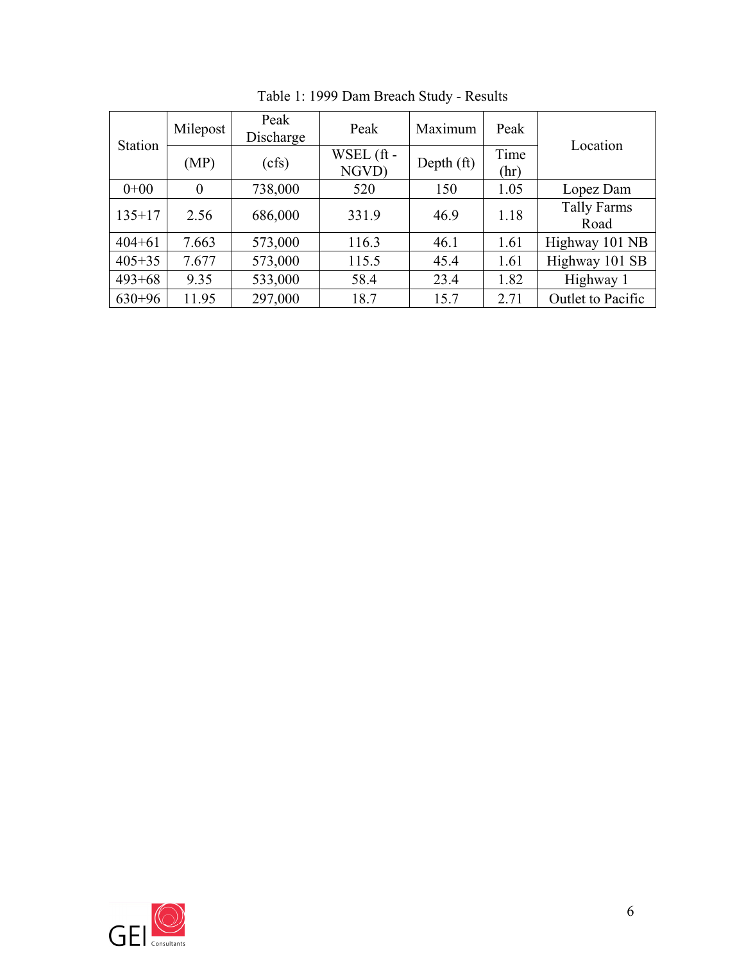| Station    | Milepost       | Peak<br>Discharge | Peak                | Maximum      | Peak         | Location                   |  |
|------------|----------------|-------------------|---------------------|--------------|--------------|----------------------------|--|
|            | (MP)           | (cfs)             | WSEL (ft -<br>NGVD) | Depth $(ft)$ | Time<br>(hr) |                            |  |
| $0+00$     | $\overline{0}$ | 738,000           | 520                 | 150          | 1.05         | Lopez Dam                  |  |
| $135 + 17$ | 2.56           | 686,000           | 331.9               | 46.9         | 1.18         | <b>Tally Farms</b><br>Road |  |
| $404 + 61$ | 7.663          | 573,000           | 116.3               | 46.1         | 1.61         | Highway 101 NB             |  |
| $405 + 35$ | 7.677          | 573,000           | 115.5               | 45.4         | 1.61         | Highway 101 SB             |  |
| $493 + 68$ | 9.35           | 533,000           | 58.4                | 23.4         | 1.82         | Highway 1                  |  |
| $630+96$   | 11.95          | 297,000           | 18.7                | 15.7         | 2.71         | Outlet to Pacific          |  |

Table 1: 1999 Dam Breach Study - Results

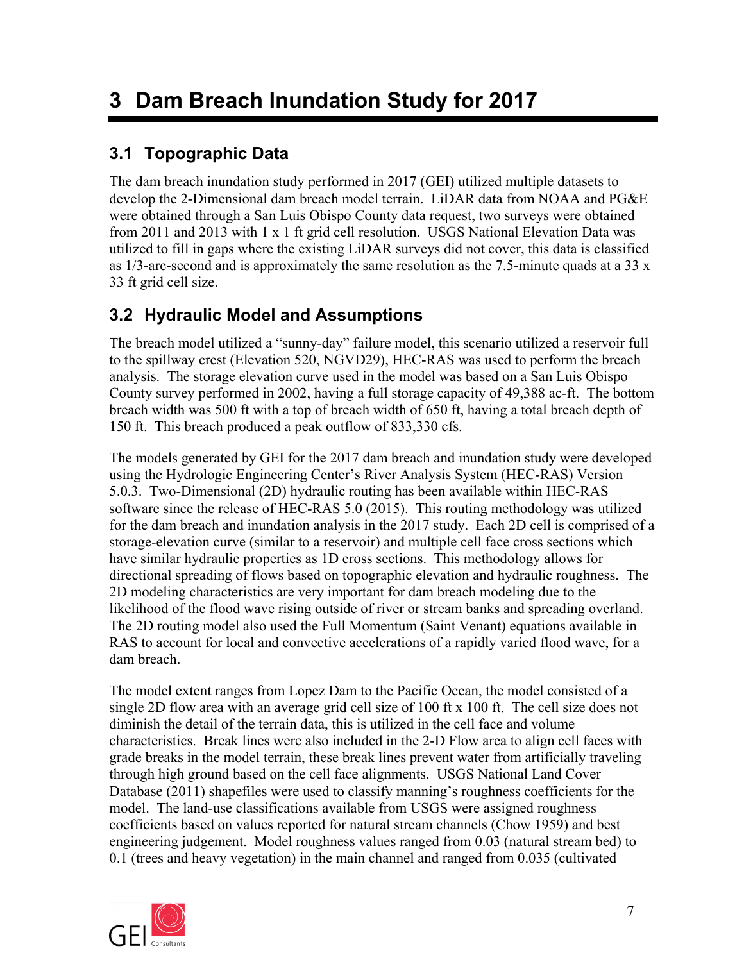## **3 Dam Breach Inundation Study for 2017**

### **3.1 Topographic Data**

The dam breach inundation study performed in 2017 (GEI) utilized multiple datasets to develop the 2-Dimensional dam breach model terrain. LiDAR data from NOAA and PG&E were obtained through a San Luis Obispo County data request, two surveys were obtained from 2011 and 2013 with 1 x 1 ft grid cell resolution. USGS National Elevation Data was utilized to fill in gaps where the existing LiDAR surveys did not cover, this data is classified as  $1/3$ -arc-second and is approximately the same resolution as the 7.5-minute quads at a 33 x 33 ft grid cell size.

#### **3.2 Hydraulic Model and Assumptions**

The breach model utilized a "sunny-day" failure model, this scenario utilized a reservoir full to the spillway crest (Elevation 520, NGVD29), HEC-RAS was used to perform the breach analysis. The storage elevation curve used in the model was based on a San Luis Obispo County survey performed in 2002, having a full storage capacity of 49,388 ac-ft. The bottom breach width was 500 ft with a top of breach width of 650 ft, having a total breach depth of 150 ft. This breach produced a peak outflow of 833,330 cfs.

The models generated by GEI for the 2017 dam breach and inundation study were developed using the Hydrologic Engineering Center's River Analysis System (HEC-RAS) Version 5.0.3. Two-Dimensional (2D) hydraulic routing has been available within HEC-RAS software since the release of HEC-RAS 5.0 (2015). This routing methodology was utilized for the dam breach and inundation analysis in the 2017 study. Each 2D cell is comprised of a storage-elevation curve (similar to a reservoir) and multiple cell face cross sections which have similar hydraulic properties as 1D cross sections. This methodology allows for directional spreading of flows based on topographic elevation and hydraulic roughness. The 2D modeling characteristics are very important for dam breach modeling due to the likelihood of the flood wave rising outside of river or stream banks and spreading overland. The 2D routing model also used the Full Momentum (Saint Venant) equations available in RAS to account for local and convective accelerations of a rapidly varied flood wave, for a dam breach.

The model extent ranges from Lopez Dam to the Pacific Ocean, the model consisted of a single 2D flow area with an average grid cell size of 100 ft x 100 ft. The cell size does not diminish the detail of the terrain data, this is utilized in the cell face and volume characteristics. Break lines were also included in the 2-D Flow area to align cell faces with grade breaks in the model terrain, these break lines prevent water from artificially traveling through high ground based on the cell face alignments. USGS National Land Cover Database (2011) shapefiles were used to classify manning's roughness coefficients for the model. The land-use classifications available from USGS were assigned roughness coefficients based on values reported for natural stream channels (Chow 1959) and best engineering judgement. Model roughness values ranged from 0.03 (natural stream bed) to 0.1 (trees and heavy vegetation) in the main channel and ranged from 0.035 (cultivated

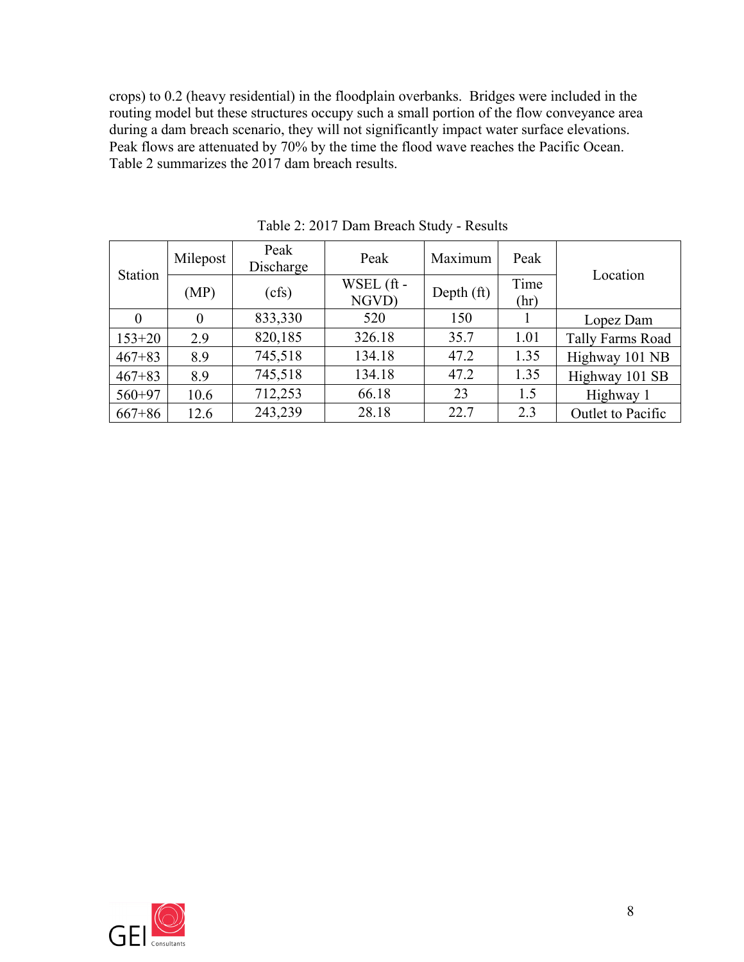crops) to 0.2 (heavy residential) in the floodplain overbanks. Bridges were included in the routing model but these structures occupy such a small portion of the flow conveyance area during a dam breach scenario, they will not significantly impact water surface elevations. Peak flows are attenuated by 70% by the time the flood wave reaches the Pacific Ocean. Table 2 summarizes the 2017 dam breach results.

| Station    | Milepost | Peak<br>Discharge | Peak                | Maximum      | Peak         | Location          |  |
|------------|----------|-------------------|---------------------|--------------|--------------|-------------------|--|
|            | (MP)     | (cfs)             | WSEL (ft -<br>NGVD) | Depth $(ft)$ | Time<br>(hr) |                   |  |
|            | $\theta$ | 833,330           | 520                 | 150          |              | Lopez Dam         |  |
| $153 + 20$ | 2.9      | 820,185           | 326.18              | 35.7         | 1.01         | Tally Farms Road  |  |
| $467 + 83$ | 8.9      | 745,518           | 134.18              | 47.2         | 1.35         | Highway 101 NB    |  |
| $467 + 83$ | 8.9      | 745,518           | 134.18              | 47.2         | 1.35         | Highway 101 SB    |  |
| $560+97$   | 10.6     | 712,253           | 66.18               | 23           | 1.5          | Highway 1         |  |
| $667 + 86$ | 12.6     | 243,239           | 28.18               | 22.7         | 2.3          | Outlet to Pacific |  |

Table 2: 2017 Dam Breach Study - Results

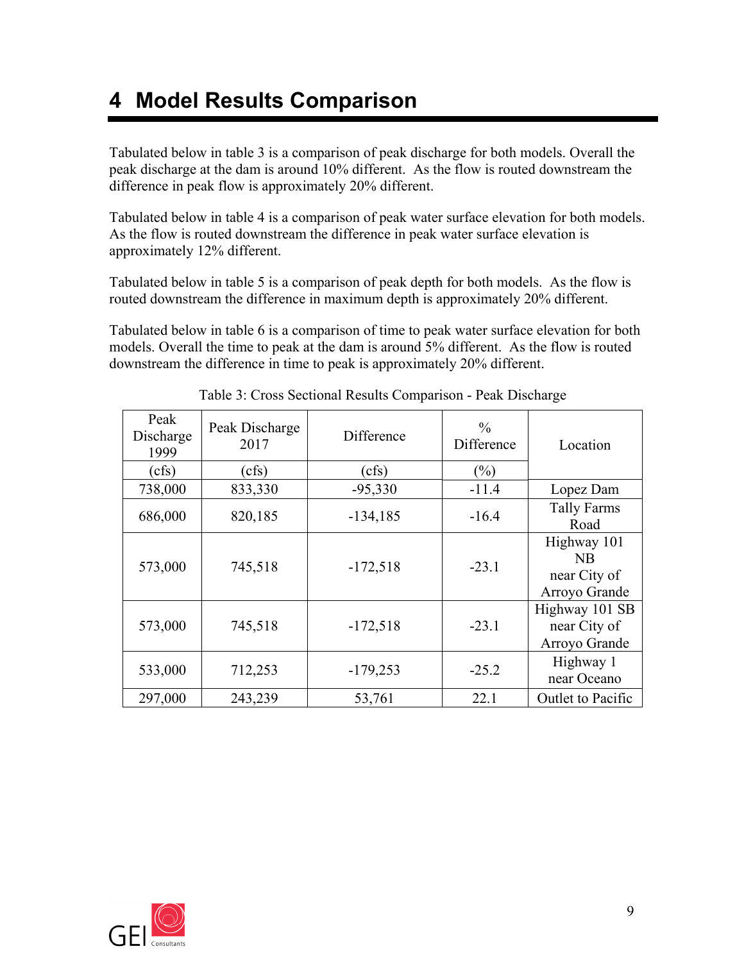### **4 Model Results Comparison**

Tabulated below in table 3 is a comparison of peak discharge for both models. Overall the peak discharge at the dam is around 10% different. As the flow is routed downstream the difference in peak flow is approximately 20% different.

Tabulated below in table 4 is a comparison of peak water surface elevation for both models. As the flow is routed downstream the difference in peak water surface elevation is approximately 12% different.

Tabulated below in table 5 is a comparison of peak depth for both models. As the flow is routed downstream the difference in maximum depth is approximately 20% different.

Tabulated below in table 6 is a comparison of time to peak water surface elevation for both models. Overall the time to peak at the dam is around 5% different. As the flow is routed downstream the difference in time to peak is approximately 20% different.

| Peak<br>Discharge<br>1999 | Peak Discharge<br>2017 | Difference | $\frac{0}{0}$<br>Difference | Location                                           |
|---------------------------|------------------------|------------|-----------------------------|----------------------------------------------------|
| (cfs)                     | (cfs)                  | (cfs)      | $(\%)$                      |                                                    |
| 738,000                   | 833,330                | $-95,330$  | $-11.4$                     | Lopez Dam                                          |
| 686,000                   | 820,185                | $-134,185$ | $-16.4$                     | <b>Tally Farms</b><br>Road                         |
| 573,000                   | 745,518                | $-172,518$ | $-23.1$                     | Highway 101<br>NB<br>near City of<br>Arroyo Grande |
| 573,000                   | 745,518                | $-172,518$ | $-23.1$                     | Highway 101 SB<br>near City of<br>Arroyo Grande    |
| 533,000                   | 712,253                | $-179,253$ | $-25.2$                     | Highway 1<br>near Oceano                           |
| 297,000                   | 243,239                | 53,761     | 22.1                        | Outlet to Pacific                                  |

Table 3: Cross Sectional Results Comparison - Peak Discharge

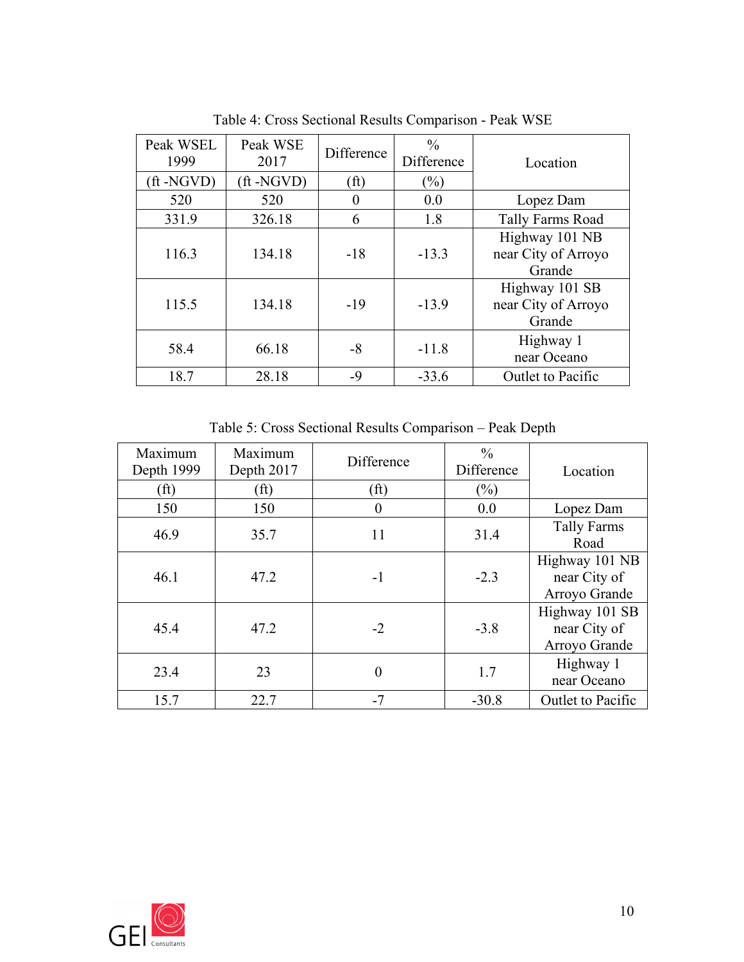| Peak WSEL<br>1999 | Peak WSE<br>2017   | Difference        | $\frac{0}{0}$<br>Difference | Location                                        |
|-------------------|--------------------|-------------------|-----------------------------|-------------------------------------------------|
| (ft-NGVD)         | $({\rm ft}$ -NGVD) | (f <sup>t</sup> ) | $(\%)$                      |                                                 |
| 520               | 520                | 0                 | 0.0                         | Lopez Dam                                       |
| 331.9             | 326.18             | 6                 | 1.8                         | Tally Farms Road                                |
| 116.3             | 134.18             | $-18$             | $-13.3$                     | Highway 101 NB<br>near City of Arroyo<br>Grande |
| 115.5             | 134.18             | $-19$             | $-13.9$                     | Highway 101 SB<br>near City of Arroyo<br>Grande |
| 58.4              | 66.18              | -8                | $-11.8$                     | Highway 1<br>near Oceano                        |
| 18.7              | 28.18              | $-9$              | $-33.6$                     | Outlet to Pacific                               |

Table 4: Cross Sectional Results Comparison - Peak WSE

Table 5: Cross Sectional Results Comparison – Peak Depth

| Maximum<br>Depth 1999 | Maximum<br>Difference<br>Depth 2017 |                   | $\frac{0}{0}$<br>Difference | Location                                        |
|-----------------------|-------------------------------------|-------------------|-----------------------------|-------------------------------------------------|
| (f <sup>t</sup> )     | $\rm (ft)$                          | (f <sup>t</sup> ) | $(\%)$                      |                                                 |
| 150                   | 150                                 | $\theta$          | 0.0                         | Lopez Dam                                       |
| 46.9                  | 35.7                                | 11                | 31.4                        | <b>Tally Farms</b><br>Road                      |
| 46.1                  | 47.2                                | $-1$              | $-2.3$                      | Highway 101 NB<br>near City of<br>Arroyo Grande |
| 45.4                  | 47.2                                | $-2$              | $-3.8$                      | Highway 101 SB<br>near City of<br>Arroyo Grande |
| 23.4                  | 23                                  | $\theta$          | 1.7                         | Highway 1<br>near Oceano                        |
| 15.7                  | 22.7                                | $-7$              | $-30.8$                     | Outlet to Pacific                               |

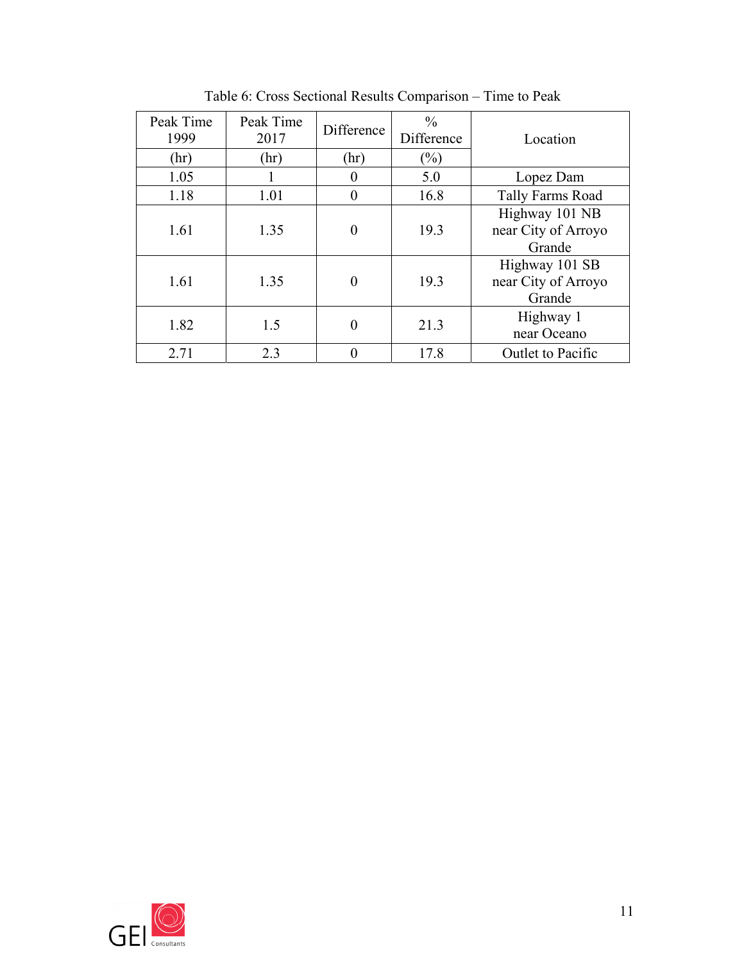| Peak Time<br>1999 | Peak Time<br>2017 | Difference | $\frac{0}{0}$<br>Difference | Location                                        |
|-------------------|-------------------|------------|-----------------------------|-------------------------------------------------|
| (hr)              | (hr)              | (hr)       | $\frac{6}{2}$               |                                                 |
| 1.05              |                   |            | 5.0                         | Lopez Dam                                       |
| 1.18              | 1.01              |            | 16.8                        | Tally Farms Road                                |
| 1.61              | 1.35              | $\theta$   | 19.3                        | Highway 101 NB<br>near City of Arroyo<br>Grande |
| 1.61              | 1.35              | $\Omega$   | 19.3                        | Highway 101 SB<br>near City of Arroyo<br>Grande |
| 1.82              | 1.5               | $\theta$   | 21.3                        | Highway 1<br>near Oceano                        |
| 2.71              | 2.3               |            | 17.8                        | Outlet to Pacific                               |

Table 6: Cross Sectional Results Comparison – Time to Peak

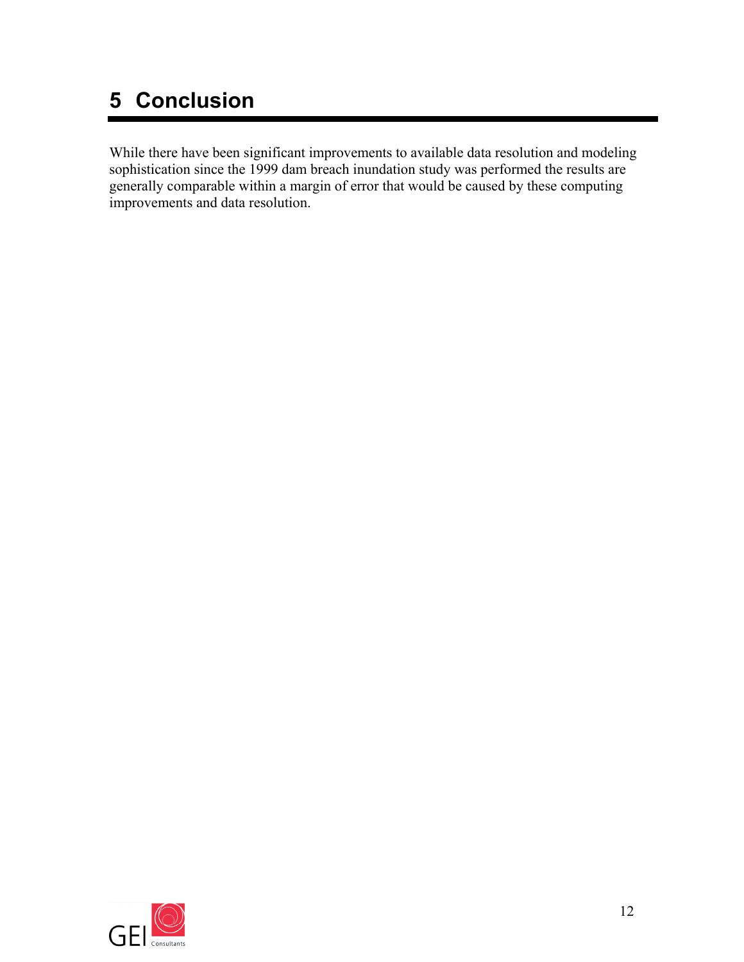# **5 Conclusion**

While there have been significant improvements to available data resolution and modeling sophistication since the 1999 dam breach inundation study was performed the results are generally comparable within a margin of error that would be caused by these computing improvements and data resolution.

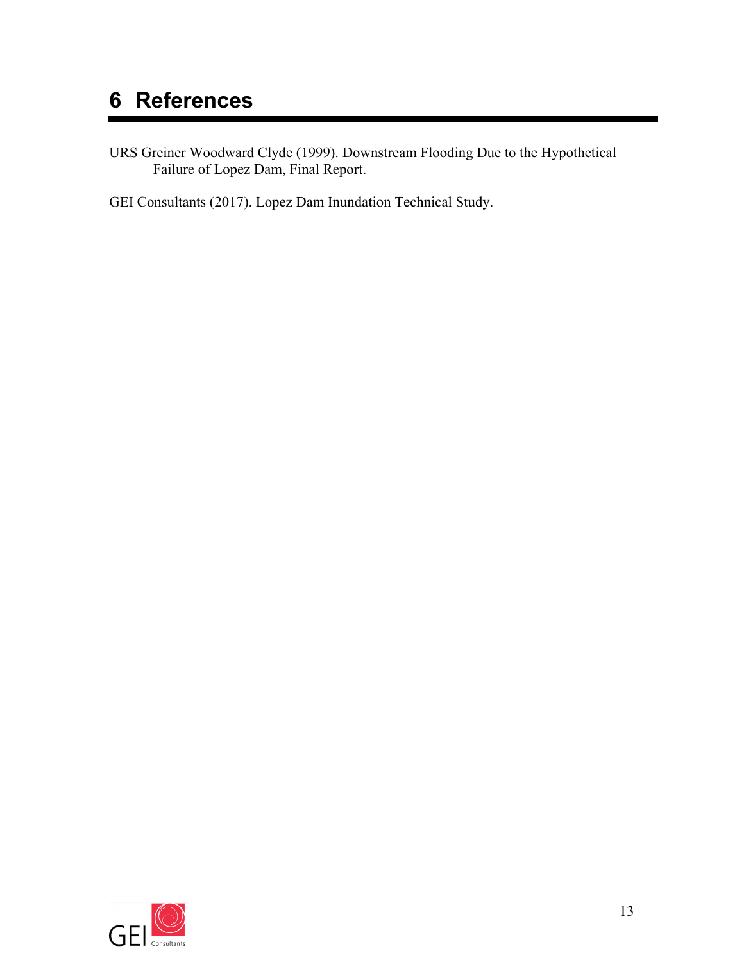# **6 References**

URS Greiner Woodward Clyde (1999). Downstream Flooding Due to the Hypothetical Failure of Lopez Dam, Final Report.

GEI Consultants (2017). Lopez Dam Inundation Technical Study.